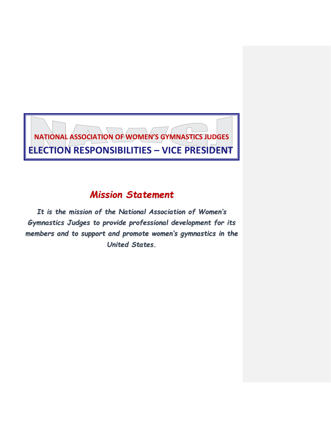# **NATIONAL ASSOCIATION OF WOMEN'S GYMNASTICS JUDGES ELECTION RESPONSIBILITIES – VICE PRESIDENT**

## *Mission Statement*

*It is the mission of the National Association of Women's Gymnastics Judges to provide professional development for its members and to support and promote women's gymnastics in the United States.*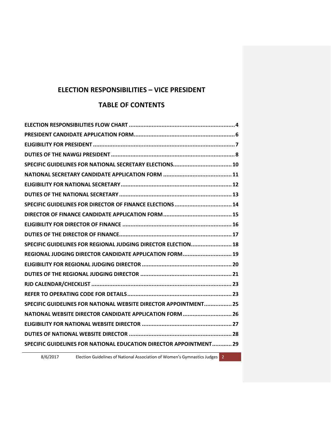## **ELECTION RESPONSIBILITIES – VICE PRESIDENT**

## **TABLE OF CONTENTS**

| SPECIFIC GUIDELINES FOR DIRECTOR OF FINANCE ELECTIONS  14          |
|--------------------------------------------------------------------|
|                                                                    |
|                                                                    |
|                                                                    |
| SPECIFIC GUIDELINES FOR REGIONAL JUDGING DIRECTOR ELECTION 18      |
| REGIONAL JUDGING DIRECTOR CANDIDATE APPLICATION FORM 19            |
|                                                                    |
|                                                                    |
|                                                                    |
|                                                                    |
| SPECIFIC GUIDELINES FOR NATIONAL WEBSITE DIRECTOR APPOINTMENT 25   |
| NATIONAL WEBSITE DIRECTOR CANDIDATE APPLICATION FORM  26           |
|                                                                    |
|                                                                    |
| SPECIFIC GUIDELINES FOR NATIONAL EDUCATION DIRECTOR APPOINTMENT 29 |
|                                                                    |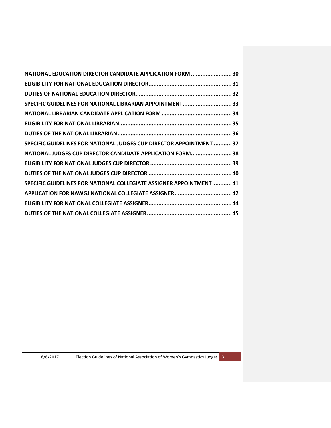| NATIONAL EDUCATION DIRECTOR CANDIDATE APPLICATION FORM  30           |  |
|----------------------------------------------------------------------|--|
|                                                                      |  |
|                                                                      |  |
| SPECIFIC GUIDELINES FOR NATIONAL LIBRARIAN APPOINTMENT 33            |  |
|                                                                      |  |
|                                                                      |  |
|                                                                      |  |
| SPECIFIC GUIDELINES FOR NATIONAL JUDGES CUP DIRECTOR APPOINTMENT  37 |  |
| NATIONAL JUDGES CUP DIRECTOR CANDIDATE APPLICATION FORM 38           |  |
|                                                                      |  |
|                                                                      |  |
| SPECIFIC GUIDELINES FOR NATIONAL COLLEGIATE ASSIGNER APPOINTMENT 41  |  |
| APPLICATION FOR NAWGJ NATIONAL COLLEGIATE ASSIGNER 42                |  |
|                                                                      |  |
|                                                                      |  |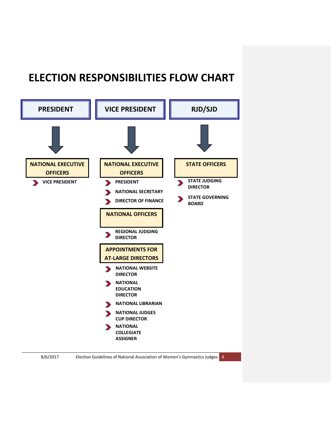## <span id="page-3-0"></span>**ELECTION RESPONSIBILITIES FLOW CHART**



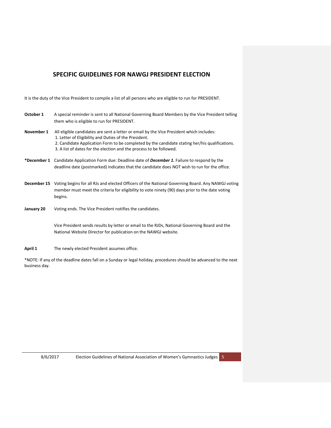## **SPECIFIC GUIDELINES FOR NAWGJ PRESIDENT ELECTION**

It is the duty of the Vice President to compile a list of all persons who are eligible to run for PRESIDENT.

| October 1   | A special reminder is sent to all National Governing Board Members by the Vice President telling<br>them who is eligible to run for PRESIDENT.                                                                                                                                                                             |
|-------------|----------------------------------------------------------------------------------------------------------------------------------------------------------------------------------------------------------------------------------------------------------------------------------------------------------------------------|
| November 1  | All eligible candidates are sent a letter or email by the Vice President which includes:<br>1. Letter of Eligibility and Duties of the President.<br>2. Candidate Application Form to be completed by the candidate stating her/his qualifications.<br>3. A list of dates for the election and the process to be followed. |
| *December 1 | Candidate Application Form due: Deadline date of <b>December 1.</b> Failure to respond by the<br>deadline date (postmarked) indicates that the candidate does NOT wish to run for the office.                                                                                                                              |
|             | December 15 Voting begins for all RJs and elected Officers of the National Governing Board. Any NAWGJ voting<br>member must meet the criteria for eligibility to vote ninety (90) days prior to the date voting<br>begins.                                                                                                 |
| January 20  | Voting ends. The Vice President notifies the candidates.                                                                                                                                                                                                                                                                   |
|             | Vice President sends results by letter or email to the RJDs, National Governing Board and the<br>National Website Director for publication on the NAWGJ website.                                                                                                                                                           |

April 1 The newly elected President assumes office.

\*NOTE: If any of the deadline dates fall on a Sunday or legal holiday, procedures should be advanced to the next business day.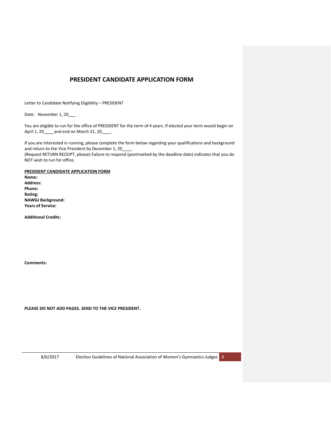## **PRESIDENT CANDIDATE APPLICATION FORM**

<span id="page-5-0"></span>Letter to Candidate Notifying Eligibility – PRESIDENT

Date: November 1, 20\_\_\_

You are eligible to run for the office of PRESIDENT for the term of 4 years. If elected your term would begin on April 1, 20\_\_\_\_\_ and end on March 31, 20\_\_\_\_\_.

If you are interested in running, please complete the form below regarding your qualifications and background and return to the Vice President by December 1, 20\_ (Request RETURN RECEIPT, please) Failure to respond (postmarked by the deadline date) indicates that you do NOT wish to run for office.

**PRESIDENT CANDIDATE APPLICATION FORM Name: Address: Phone: Rating: NAWGJ Background: Years of Service:**

**Additional Credits:**

**Comments:** 

**PLEASE DO NOT ADD PAGES. SEND TO THE VICE PRESIDENT.**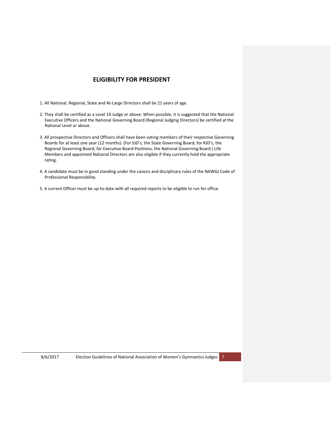## **ELIGIBILITY FOR PRESIDENT**

- <span id="page-6-0"></span>1. All National, Regional, State and At-Large Directors shall be 21 years of age.
- 2. They shall be certified as a Level 10 Judge or above. When possible, it is suggested that the National Executive Officers and the National Governing Board (Regional Judging Directors) be certified at the National Level or above.
- 3. All prospective Directors and Officers shall have been voting members of their respective Governing Boards for at least one year (12 months). (For SJD's, the State Governing Board; for RJD's, the Regional Governing Board; for Executive Board Positions, the National Governing Board.) Life Members and appointed National Directors are also eligible if they currently hold the appropriate rating.
- 4. A candidate must be in good standing under the canons and disciplinary rules of the NAWGJ Code of Professional Responsibility.
- 5. A current Officer must be up-to-date with all required reports to be eligible to run for office.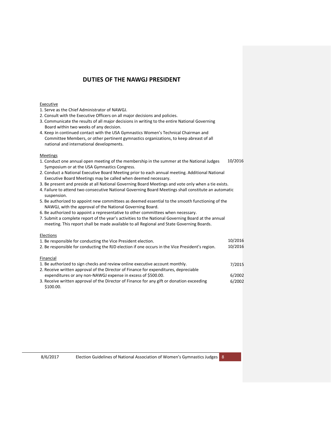## **DUTIES OF THE NAWGJ PRESIDENT**

#### <span id="page-7-0"></span>Executive

- 1. Serve as the Chief Administrator of NAWGJ.
- 2. Consult with the Executive Officers on all major decisions and policies.
- 3. Communicate the results of all major decisions in writing to the entire National Governing Board within two weeks of any decision.
- 4. Keep in continued contact with the USA Gymnastics Women's Technical Chairman and Committee Members, or other pertinent gymnastics organizations, to keep abreast of all national and international developments.

#### Meetings

- 1. Conduct one annual open meeting of the membership in the summer at the National Judges Symposium or at the USA Gymnastics Congress. 10/2016
- 2. Conduct a National Executive Board Meeting prior to each annual meeting. Additional National Executive Board Meetings may be called when deemed necessary.
- 3. Be present and preside at all National Governing Board Meetings and vote only when a tie exists.
- 4. Failure to attend two consecutive National Governing Board Meetings shall constitute an automatic suspension.
- 5. Be authorized to appoint new committees as deemed essential to the smooth functioning of the NAWGJ, with the approval of the National Governing Board.
- 6. Be authorized to appoint a representative to other committees when necessary.
- 7. Submit a complete report of the year's activities to the National Governing Board at the annual meeting. This report shall be made available to all Regional and State Governing Boards.

#### Elections

| 1. Be responsible for conducting the Vice President election.                                   | 10/2016 |
|-------------------------------------------------------------------------------------------------|---------|
| 2. Be responsible for conducting the RJD election if one occurs in the Vice President's region. | 10/2016 |
| Financial                                                                                       |         |
| 1. Be authorized to sign checks and review online executive account monthly.                    | 7/2015  |
| 2. Receive written approval of the Director of Finance for expenditures, depreciable            |         |
| expenditures or any non-NAWGJ expense in excess of \$500.00.                                    | 6/2002  |
| 3. Receive written approval of the Director of Finance for any gift or donation exceeding       | 6/2002  |
| \$100.00.                                                                                       |         |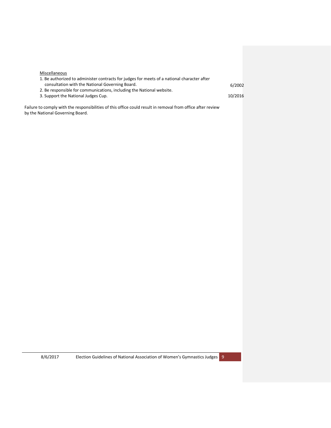| <b>Miscellaneous</b>                                                                        |         |
|---------------------------------------------------------------------------------------------|---------|
| 1. Be authorized to administer contracts for judges for meets of a national character after |         |
| consultation with the National Governing Board.                                             | 6/2002  |
| 2. Be responsible for communications, including the National website.                       |         |
| 3. Support the National Judges Cup.                                                         | 10/2016 |

Failure to comply with the responsibilities of this office could result in removal from office after review by the National Governing Board.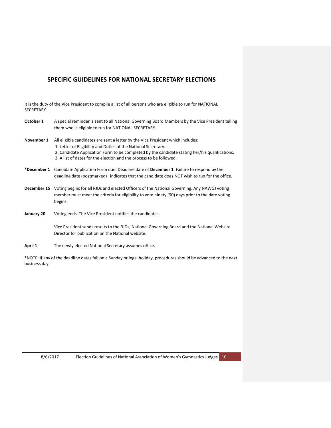## <span id="page-9-0"></span>**SPECIFIC GUIDELINES FOR NATIONAL SECRETARY ELECTIONS**

It is the duty of the Vice President to compile a list of all persons who are eligible to run for NATIONAL SECRETARY.

| October 1   | A special reminder is sent to all National Governing Board Members by the Vice President telling<br>them who is eligible to run for NATIONAL SECRETARY.                                                                                                                                                                    |
|-------------|----------------------------------------------------------------------------------------------------------------------------------------------------------------------------------------------------------------------------------------------------------------------------------------------------------------------------|
| November 1  | All eligible candidates are sent a letter by the Vice President which includes:<br>1. Letter of Eligibility and Duties of the National Secretary.<br>2. Candidate Application Form to be completed by the candidate stating her/his qualifications.<br>3. A list of dates for the election and the process to be followed. |
| *December 1 | Candidate Application Form due: Deadline date of December 1. Failure to respond by the<br>deadline date (postmarked) indicates that the candidate does NOT wish to run for the office.                                                                                                                                     |
| December 15 | Voting begins for all RJDs and elected Officers of the National Governing. Any NAWGJ voting<br>member must meet the criteria for eligibility to vote ninety (90) days prior to the date voting<br>begins.                                                                                                                  |
| January 20  | Voting ends. The Vice President notifies the candidates.                                                                                                                                                                                                                                                                   |
|             | Vice President sends results to the RJDs, National Governing Board and the National Website<br>Director for publication on the National website.                                                                                                                                                                           |

April 1 The newly elected National Secretary assumes office.

\*NOTE: If any of the deadline dates fall on a Sunday or legal holiday, procedures should be advanced to the next business day.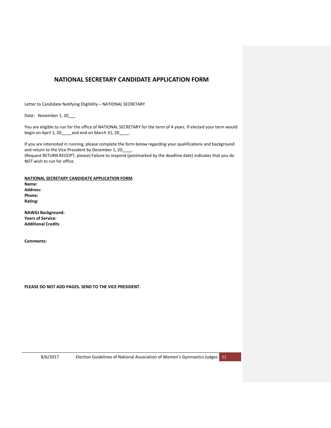## <span id="page-10-0"></span>**NATIONAL SECRETARY CANDIDATE APPLICATION FORM**

Letter to Candidate Notifying Eligibility – NATIONAL SECRETARY

Date: November 1, 20\_\_\_

You are eligible to run for the office of NATIONAL SECRETARY for the term of 4 years. If elected your term would begin on April 1, 20\_\_\_\_ and end on March 31, 20\_\_\_\_.

If you are interested in running, please complete the form below regarding your qualifications and background and return to the Vice President by December 1, 20 (Request RETURN RECEIPT, please) Failure to respond (postmarked by the deadline date) indicates that you do

NOT wish to run for office. **NATIONAL SECRETARY CANDIDATE APPLICATION FORM**

**Name: Address: Phone: Rating:**

**NAWGJ Background: Years of Service: Additional Credits**

**Comments:** 

**PLEASE DO NOT ADD PAGES. SEND TO THE VICE PRESIDENT.**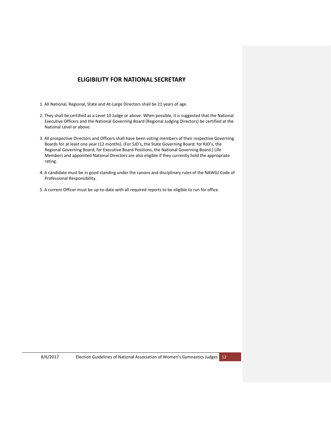## **ELIGIBILITY FOR NATIONAL SECRETARY**

- <span id="page-11-0"></span>1. All National, Regional, State and At-Large Directors shall be 21 years of age.
- 2. They shall be certified as a Level 10 Judge or above. When possible, it is suggested that the National Executive Officers and the National Governing Board (Regional Judging Directors) be certified at the National Level or above.
- 3. All prospective Directors and Officers shall have been voting members of their respective Governing Boards for at least one year (12 months). (For SJD's, the State Governing Board; for RJD's, the Regional Governing Board; for Executive Board Positions, the National Governing Board.) Life Members and appointed National Directors are also eligible if they currently hold the appropriate rating.
- 4. A candidate must be in good standing under the canons and disciplinary rules of the NAWGJ Code of Professional Responsibility.
- 5. A current Officer must be up-to-date with all required reports to be eligible to run for office.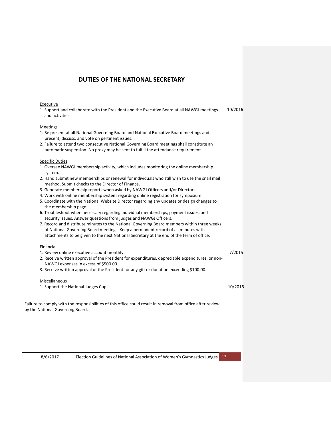## **DUTIES OF THE NATIONAL SECRETARY**

#### <span id="page-12-0"></span>Executive

| 1. Support and collaborate with the President and the Executive Board at all NAWGJ meetings | 10/2016 |
|---------------------------------------------------------------------------------------------|---------|
| and activities.                                                                             |         |

#### Meetings

- 1. Be present at all National Governing Board and National Executive Board meetings and present, discuss, and vote on pertinent issues.
- 2. Failure to attend two consecutive National Governing Board meetings shall constitute an automatic suspension. No proxy may be sent to fulfill the attendance requirement.

#### Specific Duties

- 1. Oversee NAWGJ membership activity, which includes monitoring the online membership system.
- 2. Hand submit new memberships or renewal for individuals who still wish to use the snail mail method. Submit checks to the Director of Finance.
- 3. Generate membership reports when asked by NAWGJ Officers and/or Directors.
- 4. Work with online membership system regarding online registration for symposium.
- 5. Coordinate with the National Website Director regarding any updates or design changes to the membership page.
- 6. Troubleshoot when necessary regarding individual memberships, payment issues, and security issues. Answer questions from judges and NAWGJ Officers.
- 7. Record and distribute minutes to the National Governing Board members within three weeks of National Governing Board meetings. Keep a permanent record of all minutes with attachments to be given to the next National Secretary at the end of the term of office.

#### Financial

| 1. Review online executive account monthly.                                                      | 7/2015 |
|--------------------------------------------------------------------------------------------------|--------|
| 2. Receive written approval of the President for expenditures, depreciable expenditures, or non- |        |
| NAWGJ expenses in excess of \$500.00.                                                            |        |

3. Receive written approval of the President for any gift or donation exceeding \$100.00.

#### Miscellaneous

1. Support the National Judges Cup.

10/2016

Failure to comply with the responsibilities of this office could result in removal from office after review by the National Governing Board.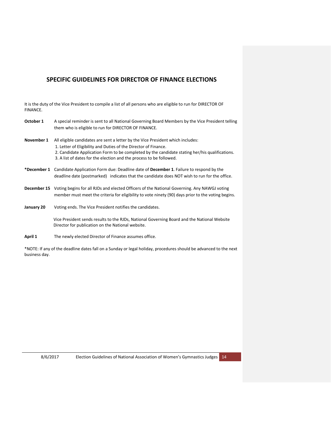## <span id="page-13-0"></span>**SPECIFIC GUIDELINES FOR DIRECTOR OF FINANCE ELECTIONS**

It is the duty of the Vice President to compile a list of all persons who are eligible to run for DIRECTOR OF FINANCE.

| October 1   | A special reminder is sent to all National Governing Board Members by the Vice President telling<br>them who is eligible to run for DIRECTOR OF FINANCE.                                                                                                                                                                    |
|-------------|-----------------------------------------------------------------------------------------------------------------------------------------------------------------------------------------------------------------------------------------------------------------------------------------------------------------------------|
| November 1  | All eligible candidates are sent a letter by the Vice President which includes:<br>1. Letter of Eligibility and Duties of the Director of Finance.<br>2. Candidate Application Form to be completed by the candidate stating her/his qualifications.<br>3. A list of dates for the election and the process to be followed. |
| *December 1 | Candidate Application Form due: Deadline date of December 1. Failure to respond by the<br>deadline date (postmarked) indicates that the candidate does NOT wish to run for the office.                                                                                                                                      |
|             | <b>December 15</b> Voting begins for all RJDs and elected Officers of the National Governing. Any NAWGJ voting<br>member must meet the criteria for eligibility to vote ninety (90) days prior to the voting begins.                                                                                                        |
| January 20  | Voting ends. The Vice President notifies the candidates.                                                                                                                                                                                                                                                                    |
|             | Vice President sends results to the RJDs, National Governing Board and the National Website<br>Director for publication on the National website.                                                                                                                                                                            |
| April 1     | The newly elected Director of Finance assumes office.                                                                                                                                                                                                                                                                       |

\*NOTE: If any of the deadline dates fall on a Sunday or legal holiday, procedures should be advanced to the next business day.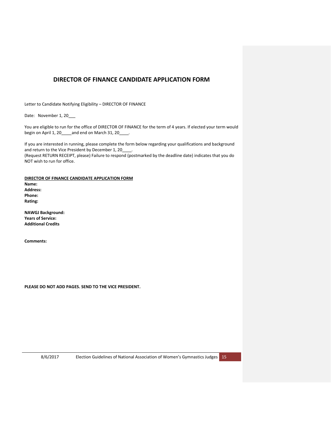## <span id="page-14-0"></span>**DIRECTOR OF FINANCE CANDIDATE APPLICATION FORM**

Letter to Candidate Notifying Eligibility – DIRECTOR OF FINANCE

Date: November 1, 20\_\_\_

You are eligible to run for the office of DIRECTOR OF FINANCE for the term of 4 years. If elected your term would begin on April 1, 20\_\_\_\_ and end on March 31, 20\_\_\_\_.

If you are interested in running, please complete the form below regarding your qualifications and background and return to the Vice President by December 1, 20 (Request RETURN RECEIPT, please) Failure to respond (postmarked by the deadline date) indicates that you do NOT wish to run for office.

**DIRECTOR OF FINANCE CANDIDATE APPLICATION FORM Name: Address: Phone: Rating:**

**NAWGJ Background: Years of Service: Additional Credits**

**Comments:** 

**PLEASE DO NOT ADD PAGES. SEND TO THE VICE PRESIDENT.**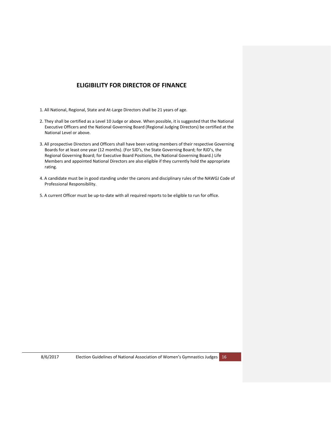## **ELIGIBILITY FOR DIRECTOR OF FINANCE**

- <span id="page-15-0"></span>1. All National, Regional, State and At-Large Directors shall be 21 years of age.
- 2. They shall be certified as a Level 10 Judge or above. When possible, it is suggested that the National Executive Officers and the National Governing Board (Regional Judging Directors) be certified at the National Level or above.
- 3. All prospective Directors and Officers shall have been voting members of their respective Governing Boards for at least one year (12 months). (For SJD's, the State Governing Board; for RJD's, the Regional Governing Board; for Executive Board Positions, the National Governing Board.) Life Members and appointed National Directors are also eligible if they currently hold the appropriate rating.
- 4. A candidate must be in good standing under the canons and disciplinary rules of the NAWGJ Code of Professional Responsibility.
- 5. A current Officer must be up-to-date with all required reports to be eligible to run for office.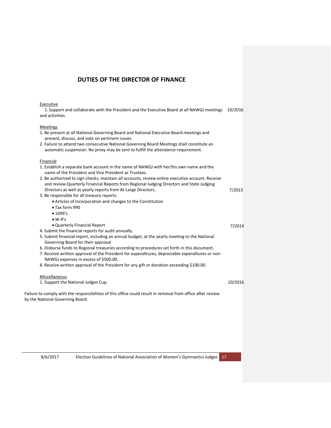## **DUTIES OF THE DIRECTOR OF FINANCE**

1. Be present at all National Governing Board and National Executive Board meetings and

#### <span id="page-16-0"></span>**Executive**

1. Support and collaborate with the President and the Executive Board at all NAWGJ meetings 10/2016and activities.

#### **Meetings**

| present, discuss, and vote on pertinent issues.                                                                                                 |         |
|-------------------------------------------------------------------------------------------------------------------------------------------------|---------|
| 2. Failure to attend two consecutive National Governing Board Meetings shall constitute an                                                      |         |
| automatic suspension. No proxy may be sent to fulfill the attendance requirement.                                                               |         |
| Financial                                                                                                                                       |         |
| 1. Establish a separate bank account in the name of NAWGJ with her/his own name and the                                                         |         |
| name of the President and Vice President as Trustees.                                                                                           |         |
| 2. Be authorized to sign checks, maintain all accounts, review online executive account. Receive                                                |         |
| and review Quarterly Financial Reports from Regional Judging Directors and State Judging                                                        |         |
| Directors as well as yearly reports from At-Large Directors.                                                                                    | 7/2015  |
| 3. Be responsible for all treasury reports:                                                                                                     |         |
| • Articles of Incorporation and changes to the Constitution                                                                                     |         |
| • Tax form 990                                                                                                                                  |         |
| • 1099's                                                                                                                                        |         |
| $\bullet$ W-9's                                                                                                                                 |         |
| • Quarterly Financial Report                                                                                                                    | 7/2014  |
| 4. Submit the financial reports for audit annually.                                                                                             |         |
| 5. Submit financial report, including an annual budget, at the yearly meeting to the National<br>Governing Board for their approval             |         |
| 6. Disburse funds to Regional treasuries according to procedures set forth in this document.                                                    |         |
| 7. Receive written approval of the President for expenditures, depreciable expenditures or non-                                                 |         |
| NAWGJ expenses in excess of \$500.00.                                                                                                           |         |
| 8. Receive written approval of the President for any gift or donation exceeding \$100.00.                                                       |         |
|                                                                                                                                                 |         |
| Miscellaneous                                                                                                                                   |         |
| 1. Support the National Judges Cup.                                                                                                             | 10/2016 |
|                                                                                                                                                 |         |
| Failure to comply with the responsibilities of this office could result in removal from office after review<br>by the National Governing Board. |         |
|                                                                                                                                                 |         |
|                                                                                                                                                 |         |
|                                                                                                                                                 |         |
|                                                                                                                                                 |         |
|                                                                                                                                                 |         |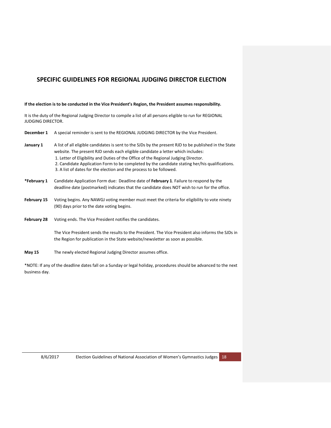## <span id="page-17-0"></span>**SPECIFIC GUIDELINES FOR REGIONAL JUDGING DIRECTOR ELECTION**

#### **If the election is to be conducted in the Vice President's Region, the President assumes responsibility.**

It is the duty of the Regional Judging Director to compile a list of all persons eligible to run for REGIONAL JUDGING DIRECTOR.

| December 1         | A special reminder is sent to the REGIONAL JUDGING DIRECTOR by the Vice President.                                                                                                                                                                                                                                                                                                                                                                       |
|--------------------|----------------------------------------------------------------------------------------------------------------------------------------------------------------------------------------------------------------------------------------------------------------------------------------------------------------------------------------------------------------------------------------------------------------------------------------------------------|
| January 1          | A list of all eligible candidates is sent to the SJDs by the present RJD to be published in the State<br>website. The present RJD sends each eligible candidate a letter which includes:<br>1. Letter of Eligibility and Duties of the Office of the Regional Judging Director.<br>2. Candidate Application Form to be completed by the candidate stating her/his qualifications.<br>3. A list of dates for the election and the process to be followed. |
| *February 1        | Candidate Application Form due: Deadline date of February 1. Failure to respond by the<br>deadline date (postmarked) indicates that the candidate does NOT wish to run for the office.                                                                                                                                                                                                                                                                   |
| February 15        | Voting begins. Any NAWGJ voting member must meet the criteria for eligibility to vote ninety<br>(90) days prior to the date voting begins.                                                                                                                                                                                                                                                                                                               |
| <b>February 28</b> | Voting ends. The Vice President notifies the candidates.                                                                                                                                                                                                                                                                                                                                                                                                 |
|                    | The Vice President sends the results to the President. The Vice President also informs the SJDs in<br>the Region for publication in the State website/newsletter as soon as possible.                                                                                                                                                                                                                                                                    |
| <b>May 15</b>      | The newly elected Regional Judging Director assumes office.                                                                                                                                                                                                                                                                                                                                                                                              |

\*NOTE: If any of the deadline dates fall on a Sunday or legal holiday, procedures should be advanced to the next business day.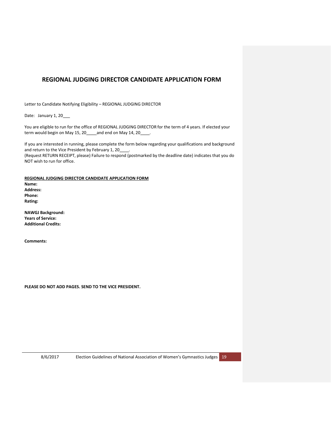## <span id="page-18-0"></span>**REGIONAL JUDGING DIRECTOR CANDIDATE APPLICATION FORM**

Letter to Candidate Notifying Eligibility – REGIONAL JUDGING DIRECTOR

Date: January 1, 20\_\_\_

You are eligible to run for the office of REGIONAL JUDGING DIRECTOR for the term of 4 years. If elected your term would begin on May 15, 20\_\_\_\_ and end on May 14, 20\_\_\_\_.

If you are interested in running, please complete the form below regarding your qualifications and background and return to the Vice President by February 1, 20

(Request RETURN RECEIPT, please) Failure to respond (postmarked by the deadline date) indicates that you do NOT wish to run for office.

**REGIONAL JUDGING DIRECTOR CANDIDATE APPLICATION FORM Name: Address: Phone: Rating:**

**NAWGJ Background: Years of Service: Additional Credits:**

**Comments:** 

**PLEASE DO NOT ADD PAGES. SEND TO THE VICE PRESIDENT.**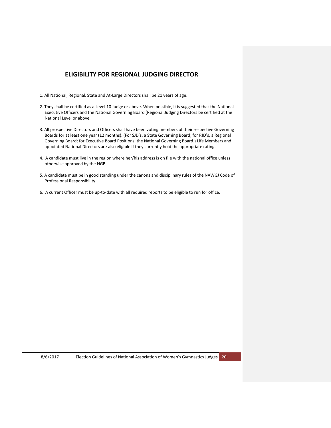## **ELIGIBILITY FOR REGIONAL JUDGING DIRECTOR**

- <span id="page-19-0"></span>1. All National, Regional, State and At-Large Directors shall be 21 years of age.
- 2. They shall be certified as a Level 10 Judge or above. When possible, it is suggested that the National Executive Officers and the National Governing Board (Regional Judging Directors be certified at the National Level or above.
- 3. All prospective Directors and Officers shall have been voting members of their respective Governing Boards for at least one year (12 months). (For SJD's, a State Governing Board; for RJD's, a Regional Governing Board; for Executive Board Positions, the National Governing Board.) Life Members and appointed National Directors are also eligible if they currently hold the appropriate rating.
- 4. A candidate must live in the region where her/his address is on file with the national office unless otherwise approved by the NGB.
- 5. A candidate must be in good standing under the canons and disciplinary rules of the NAWGJ Code of Professional Responsibility.
- 6. A current Officer must be up-to-date with all required reports to be eligible to run for office.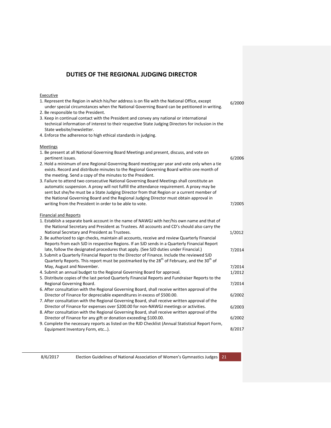## **DUTIES OF THE REGIONAL JUDGING DIRECTOR**

#### <span id="page-20-0"></span>**Executive** 1. Represent the Region in which his/her address is on file with the National Office, except under special circumstances when the National Governing Board can be petitioned in writing. 2. Be responsible to the President. 3. Keep in continual contact with the President and convey any national or international technical information of interest to their respective State Judging Directors for inclusion in the State website/newsletter. 4. Enforce the adherence to high ethical standards in judging. Meetings 1. Be present at all National Governing Board Meetings and present, discuss, and vote on pertinent issues. 2. Hold a minimum of one Regional Governing Board meeting per year and vote only when a tie exists. Record and distribute minutes to the Regional Governing Board within one month of the meeting. Send a copy of the minutes to the President. 3. Failure to attend two consecutive National Governing Board Meetings shall constitute an automatic suspension. A proxy will not fulfill the attendance requirement. A proxy may be sent but she/he must be a State Judging Director from that Region or a current member of the National Governing Board and the Regional Judging Director must obtain approval in writing from the President in order to be able to vote. Financial and Reports 1. Establish a separate bank account in the name of NAWGJ with her/his own name and that of the National Secretary and President as Trustees. All accounts and CD's should also carry the National Secretary and President as Trustees. 2. Be authorized to sign checks, maintain all accounts, receive and review Quarterly Financial Reports from each SJD in respective Regions. If an SJD sends in a Quarterly Financial Report late, follow the designated procedures that apply. (See SJD duties under Financial.) 3. Submit a Quarterly Financial Report to the Director of Finance. Include the reviewed SJD Quarterly Reports. This report must be postmarked by the  $28<sup>th</sup>$  of February, and the  $30<sup>th</sup>$  of May, August and November. 4. Submit an annual budget to the Regional Governing Board for approval. 5. Distribute copies of the last period Quarterly Financial Reports and Fundraiser Reports to the Regional Governing Board. 6. After consultation with the Regional Governing Board, shall receive written approval of the Director of Finance for depreciable expenditures in excess of \$500.00. 7. After consultation with the Regional Governing Board, shall receive written approval of the Director of Finance for expenses over \$200.00 for non-NAWGJ meetings or activities. 8. After consultation with the Regional Governing Board, shall receive written approval of the Director of Finance for any gift or donation exceeding \$100.00. 9. Complete the necessary reports as listed on the RJD Checklist (Annual Statistical Report Form, Equipment Inventory Form, etc…). 6/2000 6/2006 7/2005 1/2012 7/2014 6/2002 6/2003 6/2002 1/2012 7/2014 7/2014 8/2017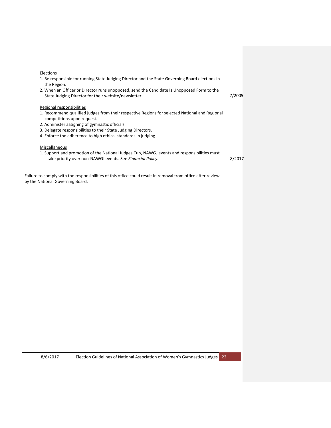| 1. Be responsible for running State Judging Director and the State Governing Board elections in<br>the Region.                                            |        |
|-----------------------------------------------------------------------------------------------------------------------------------------------------------|--------|
| 2. When an Officer or Director runs unopposed, send the Candidate Is Unopposed Form to the                                                                |        |
| State Judging Director for their website/newsletter.                                                                                                      | 7/2005 |
| Regional responsibilities                                                                                                                                 |        |
| 1. Recommend qualified judges from their respective Regions for selected National and Regional<br>competitions upon request.                              |        |
| 2. Administer assigning of gymnastic officials.                                                                                                           |        |
| 3. Delegate responsibilities to their State Judging Directors.                                                                                            |        |
| 4. Enforce the adherence to high ethical standards in judging.                                                                                            |        |
| Miscellaneous                                                                                                                                             |        |
| 1. Support and promotion of the National Judges Cup, NAWGJ events and responsibilities must<br>take priority over non-NAWGJ events. See Financial Policy. | 8/2017 |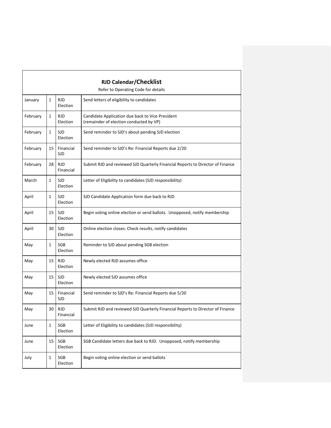<span id="page-22-1"></span><span id="page-22-0"></span>

| <b>RJD Calendar/Checklist</b><br>Refer to Operating Code for details |    |                         |                                                                                             |
|----------------------------------------------------------------------|----|-------------------------|---------------------------------------------------------------------------------------------|
|                                                                      |    |                         |                                                                                             |
| January                                                              | 1  | <b>RJD</b><br>Election  | Send letters of eligibility to candidates                                                   |
| February                                                             | 1  | <b>RJD</b><br>Election  | Candidate Application due back to Vice President<br>(remainder of election conducted by VP) |
| February                                                             | 1  | <b>SJD</b><br>Election  | Send reminder to SJD's about pending SJD election                                           |
| February                                                             | 15 | Financial<br><b>SJD</b> | Send reminder to SJD's Re: Financial Reports due 2/20                                       |
| February                                                             | 28 | <b>RJD</b><br>Financial | Submit RJD and reviewed SJD Quarterly Financial Reports to Director of Finance              |
| March                                                                | 1  | <b>SJD</b><br>Election  | Letter of Eligibility to candidates (SJD responsibility)                                    |
| April                                                                | 1  | <b>SJD</b><br>Election  | SJD Candidate Application form due back to RJD                                              |
| April                                                                | 15 | SJD<br>Election         | Begin voting online election or send ballots. Unopposed, notify membership                  |
| April                                                                | 30 | <b>SJD</b><br>Election  | Online election closes: Check results, notify candidates                                    |
| May                                                                  | 1  | SGB<br>Election         | Reminder to SJD about pending SGB election                                                  |
| May                                                                  | 15 | <b>RJD</b><br>Election  | Newly elected RJD assumes office                                                            |
| May                                                                  | 15 | <b>SJD</b><br>Election  | Newly elected SJD assumes office                                                            |
| May                                                                  | 15 | Financial<br><b>SJD</b> | Send reminder to SJD's Re: Financial Reports due 5/20                                       |
| May                                                                  | 30 | <b>RJD</b><br>Financial | Submit RJD and reviewed SJD Quarterly Financial Reports to Director of Finance              |
| June                                                                 | 1  | SGB<br>Election         | Letter of Eligibility to candidates (SJD responsibility)                                    |
| June                                                                 | 15 | SGB<br>Election         | SGB Candidate letters due back to RJD. Unopposed, notify membership                         |
| July                                                                 | 1  | SGB<br>Election         | Begin voting online election or send ballots                                                |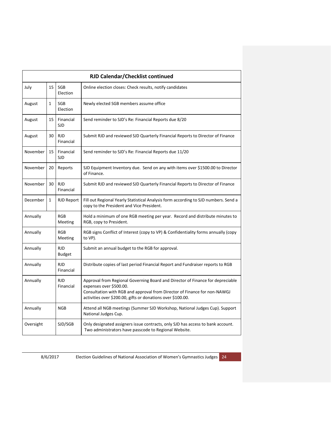| RJD Calendar/Checklist continued |              |                             |                                                                                                                                                                                                                                                       |
|----------------------------------|--------------|-----------------------------|-------------------------------------------------------------------------------------------------------------------------------------------------------------------------------------------------------------------------------------------------------|
| July                             | 15           | <b>SGB</b><br>Election      | Online election closes: Check results, notify candidates                                                                                                                                                                                              |
| August                           | $\mathbf{1}$ | <b>SGB</b><br>Election      | Newly elected SGB members assume office                                                                                                                                                                                                               |
| August                           | 15           | Financial<br><b>SJD</b>     | Send reminder to SJD's Re: Financial Reports due 8/20                                                                                                                                                                                                 |
| August                           | 30           | <b>RJD</b><br>Financial     | Submit RJD and reviewed SJD Quarterly Financial Reports to Director of Finance                                                                                                                                                                        |
| November                         | 15           | Financial<br><b>SJD</b>     | Send reminder to SJD's Re: Financial Reports due 11/20                                                                                                                                                                                                |
| November                         | 20           | Reports                     | SJD Equipment Inventory due. Send on any with items over \$1500.00 to Director<br>of Finance.                                                                                                                                                         |
| November                         | 30           | <b>RJD</b><br>Financial     | Submit RJD and reviewed SJD Quarterly Financial Reports to Director of Finance                                                                                                                                                                        |
| December                         | $\mathbf{1}$ | <b>RJD Report</b>           | Fill out Regional Yearly Statistical Analysis form according to SJD numbers. Send a<br>copy to the President and Vice President.                                                                                                                      |
| Annually                         |              | <b>RGB</b><br>Meeting       | Hold a minimum of one RGB meeting per year. Record and distribute minutes to<br>RGB, copy to President.                                                                                                                                               |
| Annually                         |              | <b>RGB</b><br>Meeting       | RGB signs Conflict of Interest (copy to VP) & Confidentiality forms annually (copy<br>to VP).                                                                                                                                                         |
| Annually                         |              | <b>RJD</b><br><b>Budget</b> | Submit an annual budget to the RGB for approval.                                                                                                                                                                                                      |
| Annually                         |              | <b>RJD</b><br>Financial     | Distribute copies of last period Financial Report and Fundraiser reports to RGB                                                                                                                                                                       |
| Annually                         |              | <b>RJD</b><br>Financial     | Approval from Regional Governing Board and Director of Finance for depreciable<br>expenses over \$500.00.<br>Consultation with RGB and approval from Director of Finance for non-NAWGJ<br>activities over \$200.00, gifts or donations over \$100.00. |
| Annually                         |              | <b>NGB</b>                  | Attend all NGB meetings (Summer SJD Workshop, National Judges Cup). Support<br>National Judges Cup.                                                                                                                                                   |
| Oversight                        |              | SJD/SGB                     | Only designated assigners issue contracts, only SJD has access to bank account.<br>Two administrators have passcode to Regional Website.                                                                                                              |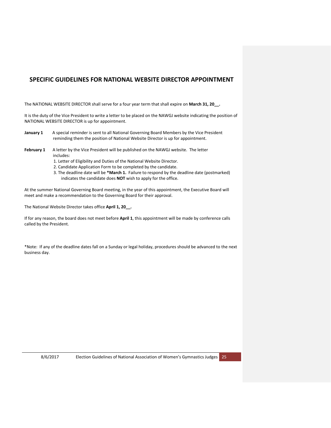## <span id="page-24-0"></span>**SPECIFIC GUIDELINES FOR NATIONAL WEBSITE DIRECTOR APPOINTMENT**

The NATIONAL WEBSITE DIRECTOR shall serve for a four year term that shall expire on **March 31, 20\_\_.** 

It is the duty of the Vice President to write a letter to be placed on the NAWGJ website indicating the position of NATIONAL WEBSITE DIRECTOR is up for appointment.

- **January 1** A special reminder is sent to all National Governing Board Members by the Vice President reminding them the position of National Website Director is up for appointment.
- **February 1** A letter by the Vice President will be published on the NAWGJ website. The letter includes:
	- 1. Letter of Eligibility and Duties of the National Website Director.
	- 2. Candidate Application Form to be completed by the candidate.
	- 3. The deadline date will be **\*March 1.** Failure to respond by the deadline date (postmarked) indicates the candidate does **NOT** wish to apply for the office.

At the summer National Governing Board meeting, in the year of this appointment, the Executive Board will meet and make a recommendation to the Governing Board for their approval.

The National Website Director takes office **April 1, 20\_\_.**

If for any reason, the board does not meet before **April 1**, this appointment will be made by conference calls called by the President.

\*Note: If any of the deadline dates fall on a Sunday or legal holiday, procedures should be advanced to the next business day.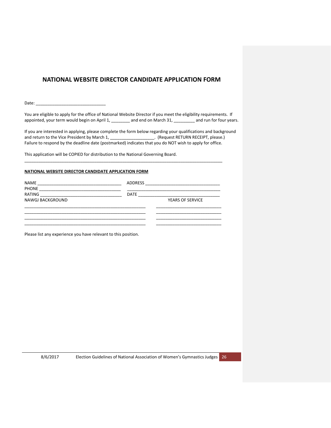## <span id="page-25-0"></span>**NATIONAL WEBSITE DIRECTOR CANDIDATE APPLICATION FORM**

Date:

You are eligible to apply for the office of National Website Director if you meet the eligibility requirements. If appointed, your term would begin on April 1, \_\_\_\_\_\_\_\_ and end on March 31, \_\_\_\_\_\_\_\_\_ and run for four years.

If you are interested in applying, please complete the form below regarding your qualifications and background and return to the Vice President by March 1, \_\_\_\_\_\_\_\_\_\_\_\_\_\_\_\_\_\_\_\_. (Request RETURN RECEIPT, please.) Failure to respond by the deadline date (postmarked) indicates that you do NOT wish to apply for office.

This application will be COPIED for distribution to the National Governing Board.

#### **NATIONAL WEBSITE DIRECTOR CANDIDATE APPLICATION FORM**

| <b>ADDRESS</b>                                         |                         |  |
|--------------------------------------------------------|-------------------------|--|
| <b>DATE</b><br><u> 1990 - Johann Barbara, martin a</u> | <b>YEARS OF SERVICE</b> |  |
|                                                        |                         |  |
|                                                        |                         |  |
|                                                        |                         |  |

\_\_\_\_\_\_\_\_\_\_\_\_\_\_\_\_\_\_\_\_\_\_\_\_\_\_\_\_\_\_\_\_\_\_\_\_\_\_\_\_\_\_\_\_\_\_\_\_\_\_\_\_\_\_\_\_\_\_\_\_\_\_\_\_\_\_\_\_\_\_\_\_\_\_\_\_\_\_\_\_\_\_\_\_\_

Please list any experience you have relevant to this position.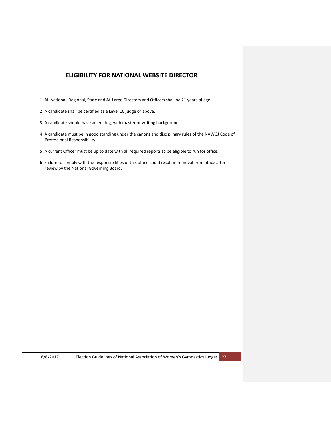## **ELIGIBILITY FOR NATIONAL WEBSITE DIRECTOR**

- <span id="page-26-0"></span>1. All National, Regional, State and At-Large Directors and Officers shall be 21 years of age.
- 2. A candidate shall be certified as a Level 10 judge or above.
- 3. A candidate should have an editing, web master or writing background.
- 4. A candidate must be in good standing under the canons and disciplinary rules of the NAWGJ Code of Professional Responsibility.
- 5. A current Officer must be up to date with all required reports to be eligible to run for office.
- 6. Failure to comply with the responsibilities of this office could result in removal from office after review by the National Governing Board.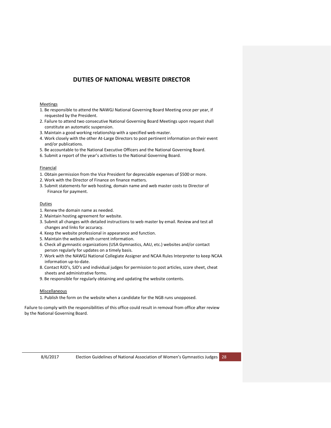## **DUTIES OF NATIONAL WEBSITE DIRECTOR**

#### <span id="page-27-0"></span>Meetings

- 1. Be responsible to attend the NAWGJ National Governing Board Meeting once per year, if requested by the President.
- 2. Failure to attend two consecutive National Governing Board Meetings upon request shall constitute an automatic suspension.
- 3. Maintain a good working relationship with a specified web master.
- 4. Work closely with the other At-Large Directors to post pertinent information on their event and/or publications.
- 5. Be accountable to the National Executive Officers and the National Governing Board.
- 6. Submit a report of the year's activities to the National Governing Board.

#### Financial

- 1. Obtain permission from the Vice President for depreciable expenses of \$500 or more.
- 2. Work with the Director of Finance on finance matters.
- 3. Submit statements for web hosting, domain name and web master costs to Director of Finance for payment.

#### **Duties**

- 1. Renew the domain name as needed.
- 2. Maintain hosting agreement for website.
- 3. Submit all changes with detailed instructions to web master by email. Review and test all changes and links for accuracy.
- 4. Keep the website professional in appearance and function.
- 5. Maintain the website with current information.
- 6. Check all gymnastic organizations (USA Gymnastics, AAU, etc.) websites and/or contact person regularly for updates on a timely basis.
- 7. Work with the NAWGJ National Collegiate Assigner and NCAA Rules Interpreter to keep NCAA information up-to-date.
- 8. Contact RJD's, SJD's and individual judges for permission to post articles, score sheet, cheat sheets and administrative forms.
- 9. Be responsible for regularly obtaining and updating the website contents.

#### Miscellaneous

1. Publish the form on the website when a candidate for the NGB runs unopposed.

Failure to comply with the responsibilities of this office could result in removal from office after review by the National Governing Board.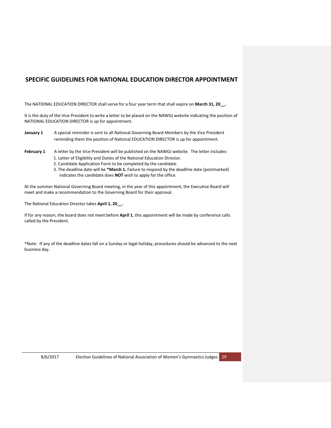## <span id="page-28-0"></span>**SPECIFIC GUIDELINES FOR NATIONAL EDUCATION DIRECTOR APPOINTMENT**

The NATIONAL EDUCATION DIRECTOR shall serve for a four year term that shall expire on **March 31, 20\_\_.**

It is the duty of the Vice President to write a letter to be placed on the NAWGJ website indicating the position of NATIONAL EDUCATION DIRECTOR is up for appointment.

- **January 1** A special reminder is sent to all National Governing Board Members by the Vice President reminding them the position of National EDUCATION DIRECTOR is up for appointment.
- February 1 A letter by the Vice President will be published on the NAWGJ website. The letter includes:
	- 1. Letter of Eligibility and Duties of the National Education Director.
	- 2. Candidate Application Form to be completed by the candidate.
	- 3. The deadline date will be **\*March 1.** Failure to respond by the deadline date (postmarked) indicates the candidate does **NOT** wish to apply for the office.

At the summer National Governing Board meeting, in the year of this appointment, the Executive Board will meet and make a recommendation to the Governing Board for their approval.

The National Education Director takes **April 1, 20\_\_.**

If for any reason, the board does not meet before **April 1**, this appointment will be made by conference calls called by the President.

\*Note: If any of the deadline dates fall on a Sunday or legal holiday, procedures should be advanced to the next business day.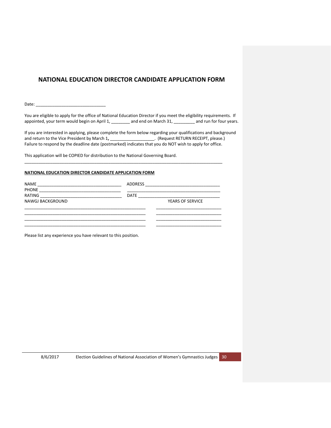## <span id="page-29-0"></span>**NATIONAL EDUCATION DIRECTOR CANDIDATE APPLICATION FORM**

Date:  $\overline{\phantom{a}}$ 

You are eligible to apply for the office of National Education Director if you meet the eligibility requirements. If appointed, your term would begin on April 1, \_\_\_\_\_\_\_\_ and end on March 31, \_\_\_\_\_\_\_\_\_ and run for four years.

If you are interested in applying, please complete the form below regarding your qualifications and background and return to the Vice President by March 1**,** \_\_\_\_\_\_\_\_\_\_\_\_\_\_\_\_\_\_\_. (Request RETURN RECEIPT, please.) Failure to respond by the deadline date (postmarked) indicates that you do NOT wish to apply for office.

This application will be COPIED for distribution to the National Governing Board.

#### **NATIONAL EDUCATION DIRECTOR CANDIDATE APPLICATION FORM**

| <b>NAME</b><br><b>PHONE</b> | <b>ADDRESS</b> | <u> 1980 - An Aonaichte ann an Aonaichte ann an t-</u> |
|-----------------------------|----------------|--------------------------------------------------------|
| RATING                      | <b>DATE</b>    |                                                        |
| NAWGJ BACKGROUND            |                | <b>YEARS OF SERVICE</b>                                |
|                             |                |                                                        |
|                             |                |                                                        |

\_\_\_\_\_\_\_\_\_\_\_\_\_\_\_\_\_\_\_\_\_\_\_\_\_\_\_\_\_\_\_\_\_\_\_\_\_\_\_\_\_\_\_\_\_\_\_\_\_\_\_\_\_\_\_\_\_\_\_\_\_\_\_\_\_\_\_\_\_\_\_\_\_\_\_\_\_\_\_\_\_\_\_\_\_

Please list any experience you have relevant to this position.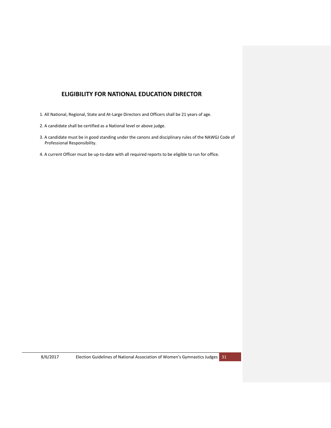## **ELIGIBILITY FOR NATIONAL EDUCATION DIRECTOR**

- <span id="page-30-0"></span>1. All National, Regional, State and At-Large Directors and Officers shall be 21 years of age.
- 2. A candidate shall be certified as a National level or above judge.
- 3. A candidate must be in good standing under the canons and disciplinary rules of the NAWGJ Code of Professional Responsibility.
- 4. A current Officer must be up-to-date with all required reports to be eligible to run for office.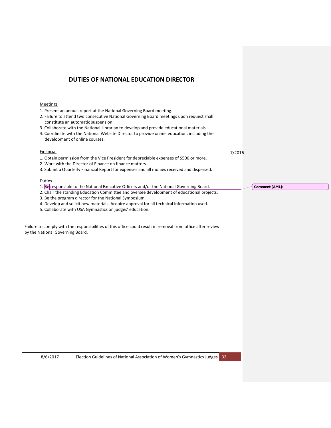## **DUTIES OF NATIONAL EDUCATION DIRECTOR**

#### <span id="page-31-0"></span>**Meetings**

- 1. Present an annual report at the National Governing Board meeting.
- 2. Failure to attend two consecutive National Governing Board meetings upon request shall constitute an automatic suspension.
- 3. Collaborate with the National Librarian to develop and provide educational materials.
- 4. Coordinate with the National Website Director to provide online education, including the development of online courses.

#### **Financial**

- 1. Obtain permission from the Vice President for depreciable expenses of \$500 or more.
- 2. Work with the Director of Finance on finance matters.
- 3. Submit a Quarterly Financial Report for expenses and all monies received and dispersed.

#### **Duties**

- 1. Be responsible to the National Executive Officers and/or the National Governing Board.
- 2. Chair the standing Education Committee and oversee development of educational projects.
- 3. Be the program director for the National Symposium.
- 4. Develop and solicit new materials. Acquire approval for all technical information used.
- 5. Collaborate with USA Gymnastics on judges' education.

Failure to comply with the responsibilities of this office could result in removal from office after review by the National Governing Board.

7/2016

**Comment [AM1]:**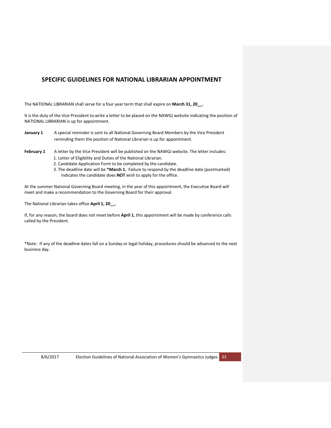## <span id="page-32-0"></span>**SPECIFIC GUIDELINES FOR NATIONAL LIBRARIAN APPOINTMENT**

The NATIONAL LIBRARIAN shall serve for a four year term that shall expire on **March 31, 20\_\_.**

It is the duty of the Vice President to write a letter to be placed on the NAWGJ website indicating the position of NATIONAL LIBRARIAN is up for appointment.

- **January 1** A special reminder is sent to all National Governing Board Members by the Vice President reminding them the position of National Librarian is up for appointment.
- February 1 A letter by the Vice President will be published on the NAWGJ website. The letter includes:
	- 1. Letter of Eligibility and Duties of the National Librarian.
	- 2. Candidate Application Form to be completed by the candidate.
	- 3. The deadline date will be **\*March 1.** Failure to respond by the deadline date (postmarked) indicates the candidate does **NOT** wish to apply for the office.

At the summer National Governing Board meeting, in the year of this appointment, the Executive Board will meet and make a recommendation to the Governing Board for their approval.

The National Librarian takes office **April 1, 20\_\_.**

If, for any reason, the board does not meet before **April 1**, this appointment will be made by conference calls called by the President.

\*Note: If any of the deadline dates fall on a Sunday or legal holiday, procedures should be advanced to the next business day.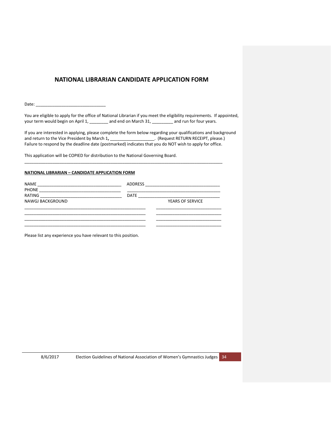## <span id="page-33-0"></span>**NATIONAL LIBRARIAN CANDIDATE APPLICATION FORM**

Date:  $\overline{\phantom{a}}$ 

You are eligible to apply for the office of National Librarian if you meet the eligibility requirements. If appointed, your term would begin on April 1, \_\_\_\_\_\_\_\_ and end on March 31, \_\_\_\_\_\_\_\_ and run for four years.

If you are interested in applying, please complete the form below regarding your qualifications and background and return to the Vice President by March 1**,** \_\_\_\_\_\_\_\_\_\_\_\_\_\_\_\_\_\_\_. (Request RETURN RECEIPT, please.) Failure to respond by the deadline date (postmarked) indicates that you do NOT wish to apply for office.

This application will be COPIED for distribution to the National Governing Board.

#### **NATIONAL LIBRARIAN – CANDIDATE APPLICATION FORM**

| <b>NAME</b>            | ADDRESS     | <u> 1980 - Jan Bernard Bernard, mensental bernard besteht als den besteht als der Erste als der Erste als der Ers</u> |  |
|------------------------|-------------|-----------------------------------------------------------------------------------------------------------------------|--|
| <b>PHONE</b><br>RATING | <b>DATE</b> |                                                                                                                       |  |
| NAWGJ BACKGROUND       |             | <b>YEARS OF SERVICE</b>                                                                                               |  |
|                        |             |                                                                                                                       |  |
|                        |             |                                                                                                                       |  |
|                        |             |                                                                                                                       |  |

\_\_\_\_\_\_\_\_\_\_\_\_\_\_\_\_\_\_\_\_\_\_\_\_\_\_\_\_\_\_\_\_\_\_\_\_\_\_\_\_\_\_\_\_\_\_\_\_\_\_\_\_\_\_\_\_\_\_\_\_\_\_\_\_\_\_\_\_\_\_\_\_\_\_\_\_\_\_\_\_\_\_\_\_\_

Please list any experience you have relevant to this position.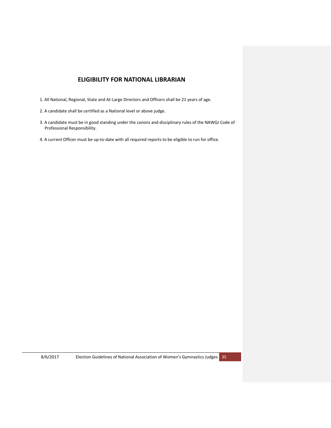## **ELIGIBILITY FOR NATIONAL LIBRARIAN**

- <span id="page-34-0"></span>1. All National, Regional, State and At-Large Directors and Officers shall be 21 years of age.
- 2. A candidate shall be certified as a National level or above judge.
- 3. A candidate must be in good standing under the canons and disciplinary rules of the NAWGJ Code of Professional Responsibility.
- 4. A current Officer must be up-to-date with all required reports to be eligible to run for office.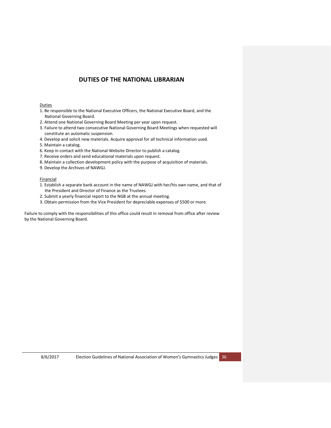## **DUTIES OF THE NATIONAL LIBRARIAN**

#### <span id="page-35-0"></span>Duties

- 1. Be responsible to the National Executive Officers, the National Executive Board, and the National Governing Board.
- 2. Attend one National Governing Board Meeting per year upon request.
- 3. Failure to attend two consecutive National Governing Board Meetings when requested will constitute an automatic suspension.
- 4. Develop and solicit new materials. Acquire approval for all technical information used.
- 5. Maintain a catalog.
- 6. Keep in contact with the National Website Director to publish a catalog.
- 7. Receive orders and send educational materials upon request.
- 8. Maintain a collection development policy with the purpose of acquisition of materials.
- 9. Develop the Archives of NAWGJ.

#### Financial

- 1. Establish a separate bank account in the name of NAWGJ with her/his own name, and that of the President and Director of Finance as the Trustees.
- 2. Submit a yearly financial report to the NGB at the annual meeting.
- 3. Obtain permission from the Vice President for depreciable expenses of \$500 or more.

Failure to comply with the responsibilities of this office could result in removal from office after review by the National Governing Board.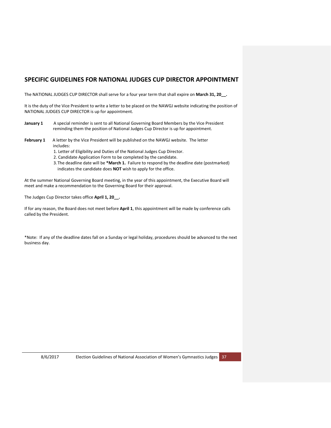## <span id="page-36-0"></span>**SPECIFIC GUIDELINES FOR NATIONAL JUDGES CUP DIRECTOR APPOINTMENT**

The NATIONAL JUDGES CUP DIRECTOR shall serve for a four year term that shall expire on **March 31, 20\_\_.**

It is the duty of the Vice President to write a letter to be placed on the NAWGJ website indicating the position of NATIONAL JUDGES CUP DIRECTOR is up for appointment.

- January 1 A special reminder is sent to all National Governing Board Members by the Vice President reminding them the position of National Judges Cup Director is up for appointment.
- February 1 A letter by the Vice President will be published on the NAWGJ website. The letter includes:
	- 1. Letter of Eligibility and Duties of the National Judges Cup Director.
	- 2. Candidate Application Form to be completed by the candidate.
	- 3.The deadline date will be **\*March 1.** Failure to respond by the deadline date (postmarked) indicates the candidate does **NOT** wish to apply for the office.

At the summer National Governing Board meeting, in the year of this appointment, the Executive Board will meet and make a recommendation to the Governing Board for their approval.

The Judges Cup Director takes office **April 1, 20\_\_.**

If for any reason, the Board does not meet before **April 1**, this appointment will be made by conference calls called by the President.

\*Note: If any of the deadline dates fall on a Sunday or legal holiday, procedures should be advanced to the next business day.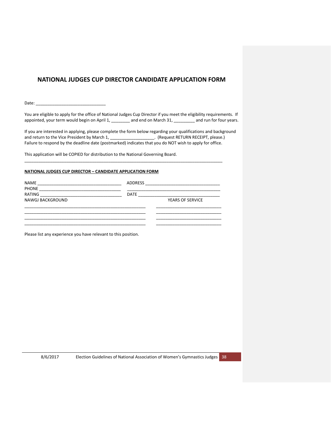## <span id="page-37-0"></span>**NATIONAL JUDGES CUP DIRECTOR CANDIDATE APPLICATION FORM**

Date:

You are eligible to apply for the office of National Judges Cup Director if you meet the eligibility requirements. If appointed, your term would begin on April 1, \_\_\_\_\_\_\_\_ and end on March 31, \_\_\_\_\_\_\_\_ and run for four years.

If you are interested in applying, please complete the form below regarding your qualifications and background and return to the Vice President by March 1, \_\_\_\_\_\_\_\_\_\_\_\_\_\_\_\_\_\_\_\_. (Request RETURN RECEIPT, please.) Failure to respond by the deadline date (postmarked) indicates that you do NOT wish to apply for office.

This application will be COPIED for distribution to the National Governing Board.

#### **NATIONAL JUDGES CUP DIRECTOR – CANDIDATE APPLICATION FORM**

| <b>NAME</b>            | ADDRESS     |                         |  |
|------------------------|-------------|-------------------------|--|
| <b>PHONE</b><br>RATING | <b>DATE</b> |                         |  |
| NAWGJ BACKGROUND       |             | <b>YEARS OF SERVICE</b> |  |
|                        |             |                         |  |
|                        |             |                         |  |
|                        |             |                         |  |

\_\_\_\_\_\_\_\_\_\_\_\_\_\_\_\_\_\_\_\_\_\_\_\_\_\_\_\_\_\_\_\_\_\_\_\_\_\_\_\_\_\_\_\_\_\_\_\_\_\_\_\_\_\_\_\_\_\_\_\_\_\_\_\_\_\_\_\_\_\_\_\_\_\_\_\_\_\_\_\_\_\_\_\_\_

Please list any experience you have relevant to this position.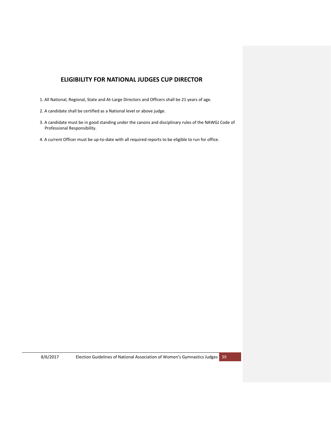## **ELIGIBILITY FOR NATIONAL JUDGES CUP DIRECTOR**

- <span id="page-38-0"></span>1. All National, Regional, State and At-Large Directors and Officers shall be 21 years of age.
- 2. A candidate shall be certified as a National level or above judge.
- 3. A candidate must be in good standing under the canons and disciplinary rules of the NAWGJ Code of Professional Responsibility.
- 4. A current Officer must be up-to-date with all required reports to be eligible to run for office.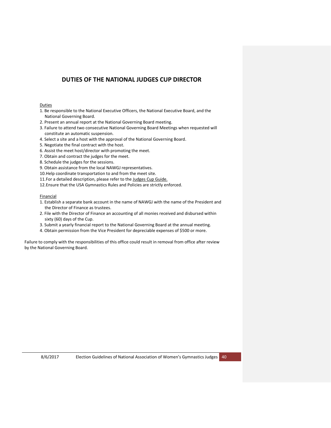## **DUTIES OF THE NATIONAL JUDGES CUP DIRECTOR**

#### <span id="page-39-0"></span>Duties

- 1. Be responsible to the National Executive Officers, the National Executive Board, and the National Governing Board.
- 2. Present an annual report at the National Governing Board meeting.
- 3. Failure to attend two consecutive National Governing Board Meetings when requested will constitute an automatic suspension.
- 4. Select a site and a host with the approval of the National Governing Board.
- 5. Negotiate the final contract with the host.
- 6. Assist the meet host/director with promoting the meet.
- 7. Obtain and contract the judges for the meet.
- 8. Schedule the judges for the sessions.
- 9. Obtain assistance from the local NAWGJ representatives.
- 10.Help coordinate transportation to and from the meet site.
- 11. For a detailed description, please refer to the Judges Cup Guide.
- 12.Ensure that the USA Gymnastics Rules and Policies are strictly enforced.

#### **Financial**

- 1. Establish a separate bank account in the name of NAWGJ with the name of the President and the Director of Finance as trustees.
- 2. File with the Director of Finance an accounting of all monies received and disbursed within sixty (60) days of the Cup.
- 3. Submit a yearly financial report to the National Governing Board at the annual meeting.
- 4. Obtain permission from the Vice President for depreciable expenses of \$500 or more.

Failure to comply with the responsibilities of this office could result in removal from office after review by the National Governing Board.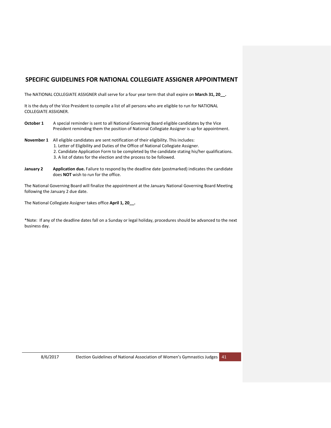## <span id="page-40-0"></span>**SPECIFIC GUIDELINES FOR NATIONAL COLLEGIATE ASSIGNER APPOINTMENT**

The NATIONAL COLLEGIATE ASSIGNER shall serve for a four year term that shall expire on **March 31, 20\_\_.**

It is the duty of the Vice President to compile a list of all persons who are eligible to run for NATIONAL COLLEGIATE ASSIGNER.

- October 1 A special reminder is sent to all National Governing Board eligible candidates by the Vice President reminding them the position of National Collegiate Assigner is up for appointment.
- **November 1** All eligible candidates are sent notification of their eligibility. This includes:
	- 1. Letter of Eligibility and Duties of the Office of National Collegiate Assigner.
	- 2. Candidate Application Form to be completed by the candidate stating his/her qualifications.
	- 3. A list of dates for the election and the process to be followed.
- **January 2 Application due.** Failure to respond by the deadline date (postmarked) indicates the candidate does **NOT** wish to run for the office.

The National Governing Board will finalize the appointment at the January National Governing Board Meeting following the January 2 due date.

The National Collegiate Assigner takes office **April 1, 20\_\_.**

\*Note: If any of the deadline dates fall on a Sunday or legal holiday, procedures should be advanced to the next business day.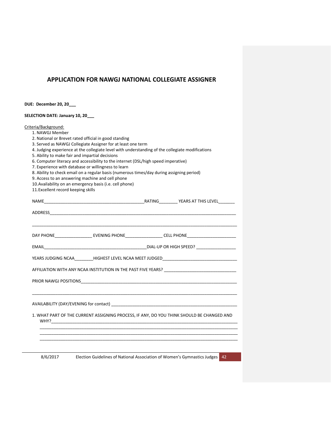## <span id="page-41-0"></span>**APPLICATION FOR NAWGJ NATIONAL COLLEGIATE ASSIGNER**

**DUE: December 20, 20\_\_\_**

**SELECTION DATE: January 10, 20\_\_\_**

Criteria/Background: 1. NAWGJ Member

2. National or Brevet rated official in good standing

3. Served as NAWGJ Collegiate Assigner for at least one term

4. Judging experience at the collegiate level with understanding of the collegiate modifications

5. Ability to make fair and impartial decisions

6. Computer literacy and accessibility to the internet (DSL/high speed imperative)

7. Experience with database or willingness to learn

8. Ability to check email on a regular basis (numerous times/day during assigning period)

9. Access to an answering machine and cell phone

10.Availability on an emergency basis (i.e. cell phone)

11.Excellent record keeping skills

|                                                                                           | DAY PHONE_____________________________EVENING PHONE_____________________CELL PHONE____________________________ |
|-------------------------------------------------------------------------------------------|----------------------------------------------------------------------------------------------------------------|
|                                                                                           |                                                                                                                |
|                                                                                           | YEARS JUDGING NCAA________HIGHEST LEVEL NCAA MEET JUDGED_________________________                              |
|                                                                                           |                                                                                                                |
|                                                                                           |                                                                                                                |
|                                                                                           |                                                                                                                |
| 1. WHAT PART OF THE CURRENT ASSIGNING PROCESS, IF ANY, DO YOU THINK SHOULD BE CHANGED AND |                                                                                                                |
|                                                                                           | ,我们也不会有什么。""我们的人,我们也不会有什么?""我们的人,我们也不会有什么?""我们的人,我们也不会有什么?""我们的人,我们也不会有什么?""我们的人                               |
| ,我们也不能在这里的时候,我们也不能在这里的时候,我们也不能会在这里,我们也不能会不能会不能会不能会不能会不能会不能会。""我们,我们也不能会不能会不能会不能会          |                                                                                                                |
|                                                                                           |                                                                                                                |
| 8/6/2017 Election Guidelines of National Association of Women's Gymnastics Judges 42      |                                                                                                                |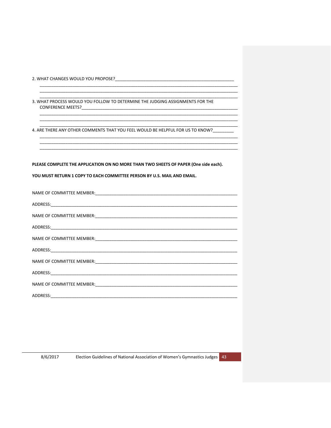2. WHAT CHANGES WOULD YOU PROPOSE?

 $\overline{\phantom{a}}$ 

3. WHAT PROCESS WOULD YOU FOLLOW TO DETERMINE THE JUDGING ASSIGNMENTS FOR THE **CONFERENCE MEETS?** 

4. ARE THERE ANY OTHER COMMENTS THAT YOU FEEL WOULD BE HELPFUL FOR US TO KNOW?\_\_\_

PLEASE COMPLETE THE APPLICATION ON NO MORE THAN TWO SHEETS OF PAPER (One side each).

| YOU MUST RETURN 1 COPY TO EACH COMMITTEE PERSON BY U.S. MAIL AND EMAIL. |  |  |
|-------------------------------------------------------------------------|--|--|
|                                                                         |  |  |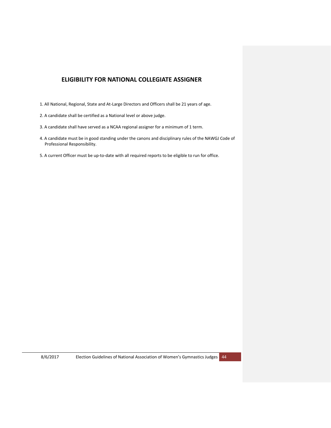## **ELIGIBILITY FOR NATIONAL COLLEGIATE ASSIGNER**

- <span id="page-43-0"></span>1. All National, Regional, State and At-Large Directors and Officers shall be 21 years of age.
- 2. A candidate shall be certified as a National level or above judge.
- 3. A candidate shall have served as a NCAA regional assigner for a minimum of 1 term.
- 4. A candidate must be in good standing under the canons and disciplinary rules of the NAWGJ Code of Professional Responsibility.
- 5. A current Officer must be up-to-date with all required reports to be eligible to run for office.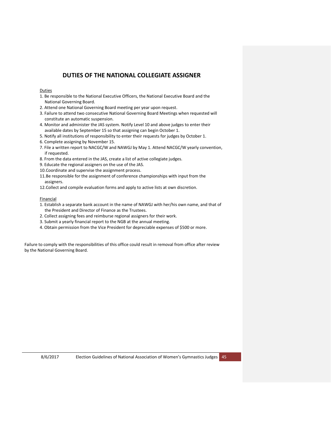## **DUTIES OF THE NATIONAL COLLEGIATE ASSIGNER**

#### <span id="page-44-0"></span>Duties

- 1. Be responsible to the National Executive Officers, the National Executive Board and the National Governing Board.
- 2. Attend one National Governing Board meeting per year upon request.
- 3. Failure to attend two consecutive National Governing Board Meetings when requested will constitute an automatic suspension.
- 4. Monitor and administer the JAS system. Notify Level 10 and above judges to enter their available dates by September 15 so that assigning can begin October 1.
- 5. Notify all institutions of responsibility to enter their requests for judges by October 1.
- 6. Complete assigning by November 15.
- 7. File a written report to NACGC/W and NAWGJ by May 1. Attend NACGC/W yearly convention, if requested.
- 8. From the data entered in the JAS, create a list of active collegiate judges.
- 9. Educate the regional assigners on the use of the JAS.
- 10.Coordinate and supervise the assignment process.
- 11.Be responsible for the assignment of conference championships with input from the assigners.
- 12.Collect and compile evaluation forms and apply to active lists at own discretion.

#### Financial

- 1. Establish a separate bank account in the name of NAWGJ with her/his own name, and that of the President and Director of Finance as the Trustees.
- 2. Collect assigning fees and reimburse regional assigners for their work.
- 3. Submit a yearly financial report to the NGB at the annual meeting.
- 4. Obtain permission from the Vice President for depreciable expenses of \$500 or more.

Failure to comply with the responsibilities of this office could result in removal from office after review by the National Governing Board.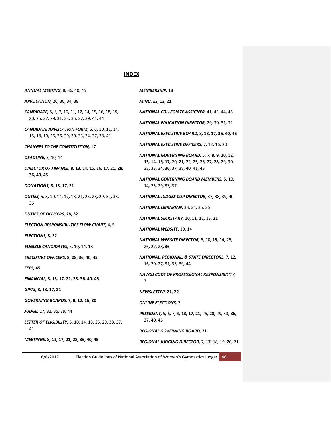#### **INDEX**

| <b>ANNUAL MEETING, 8, 36, 40, 45</b>                                                                   | MEMBERSHIP, 13                                           |
|--------------------------------------------------------------------------------------------------------|----------------------------------------------------------|
| <b>APPLICATION, 26, 30, 34, 38</b>                                                                     | <b>MINUTES, 13, 21</b>                                   |
| CANDIDATE, 5, 6, 7, 10, 11, 12, 14, 15, 16, 18, 19,<br>20, 25, 27, 29, 31, 33, 35, 37, 39, 41, 44      | <b>NATIONAL COLLED</b>                                   |
|                                                                                                        | NATIONAL EDUCA                                           |
| <b>CANDIDATE APPLICATION FORM, 5, 6, 10, 11, 14,</b><br>15, 18, 19, 25, 26, 29, 30, 33, 34, 37, 38, 41 | NATIONAL EXECUT                                          |
| <b>CHANGES TO THE CONSTITUTION, 17</b>                                                                 | <b>NATIONAL EXECU</b>                                    |
| <b>DEADLINE, 5, 10, 14</b>                                                                             | <b>NATIONAL GOVER</b><br><b>13,</b> 14, 16, <b>17,</b> 2 |
| DIRECTOR OF FINANCE, 8, 13, 14, 15, 16, 17, 21, 28,<br>36, 40, 45                                      | 32, 33, 34, <b>36</b> , 3                                |
|                                                                                                        | <b>NATIONAL GOVER</b>                                    |
| DONATIONS, 8, 13, 17, 21                                                                               | 14 <b>,</b> 25 <b>,</b> 29 <b>,</b> 33 <b>,</b> 3        |
| <b>DUTIES,</b> 5, 8, 10, 14, 17, 18, 21, 25, 28, 29, 32, 33,<br>36                                     | <b>NATIONAL JUDGE.</b>                                   |
|                                                                                                        | <b>NATIONAL LIBRAR</b>                                   |
| <b>DUTIES OF OFFICERS, 28, 32</b>                                                                      | <b>NATIONAL SECRET</b>                                   |
| <b>ELECTION RESPONSIBILITIES FLOW CHART, 4, 5</b>                                                      | <b>NATIONAL WEBSI</b>                                    |
| ELECTIONS, 8, 22                                                                                       | <b>NATIONAL WEBSI</b>                                    |
| <b>ELIGIBLE CANDIDATES, 5, 10, 14, 18</b>                                                              | 26, 27, 28, <b>36</b>                                    |
| EXECUTIVE OFFICERS, 8, 28, 36, 40, 45                                                                  | <b>NATIONAL, REGIO</b>                                   |
| <b>FEES, 45</b>                                                                                        | 16, 20, 27, 31, 3                                        |
| FINANCIAL, 8, 13, 17, 21, 28, 36, 40, 45                                                               | NAWGJ CODE OF I<br>7                                     |
| GIFTS, 8, 13, 17, 21                                                                                   | NEWSLETTER, 21,                                          |
| <b>GOVERNING BOARDS, 7, 8, 12, 16, 20</b>                                                              | <b>ONLINE ELECTION.</b>                                  |
| <b>JUDGE, 27, 31, 35, 39, 44</b>                                                                       | <b>PRESIDENT, 5, 6, 7</b>                                |
| <b>LETTER OF ELIGIBILITY,</b> 5, 10, 14, 18, 25, 29, 33, 37,                                           | 37, 40, 45                                               |
| 41                                                                                                     | <b>REGIONAL GOVER</b>                                    |
| MEETINGS, 8, 13, 17, 21, 28, 36, 40, 45                                                                | <b>REGIONAL JUDGIN</b>                                   |
|                                                                                                        |                                                          |

*MINUTES,* **13***,* **21** *NATIONAL COLLEGIATE ASSIGNER,* 41*,* 42*,* 44*,* 45 *NATIONAL EDUCATION DIRECTOR,* 29*,* 30*,* 31*,* 32 *NATIONAL EXECUTIVE BOARD,* **8***,* **13***,* **17***,* **36***,* **40***,* **45** *NATIONAL EXECUTIVE OFFICERS,* 7*,* 12*,* 16*,* 20 *NATIONAL GOVERNING BOARD,* 5*,* 7*,* **8***,* **9***,* 10*,* 12*,*  **13***,* 14*,* 16*,* **17***,* 20*,* **21***,* 22*,* 25*,* 26*,* 27*,* **28***,* 29*,* 30*,*  32*,* 33*,* 34*,* **36***,* 37*,* 38*,* **40***,* 41*,* **45** *NATIONAL GOVERNING BOARD MEMBERS,* 5*,* 10*,*  14*,* 25*,* 29*,* 33*,* 37 *NATIONAL JUDGES CUP DIRECTOR,* 37*,* 38*,* 39*,* 40 *NATIONAL LIBRARIAN,* 33*,* 34*,* 35*,* 36 *NATIONAL SECRETARY,* 10*,* 11*,* 12*,* 13*,* **21** *NATIONAL WEBSITE,* 10*,* 14 *NATIONAL WEBSITE DIRECTOR,* 5*,* 10*,* **13***,* 14*,* 25*,*  26*,* 27*,* 28*,* **36** *NATIONAL, REGIONAL, & STATE DIRECTORS,* 7*,* 12*,*  16*,* 20*,* 27*,* 31*,* 35*,* 39*,* 44 *NAWGJ CODE OF PROFESSIONAL RESPONSIBILITY, NEWSLETTER,* **21***,* **22 ONS,** 7 *PRESIDENT,* 5*,* 6*,* 7*,* 8*,* **13***,* **17***,* **21***,* 25*,* **28***,* 29*,* 33*,* **36***, REGIONAL GOVERNING BOARD,* **21** *REGIONAL JUDGING DIRECTOR,* 7*,* **17***,* 18*,* 19*,* 20*,* 21